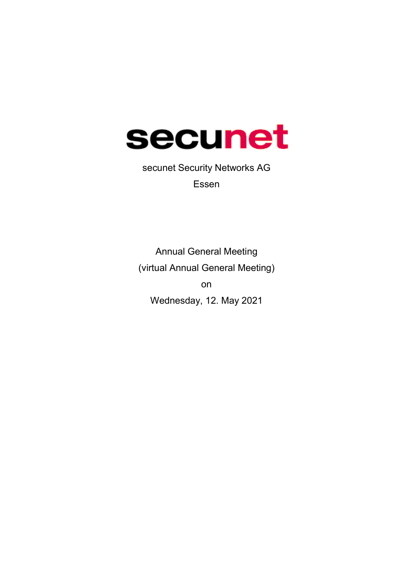

secunet Security Networks AG Essen

Annual General Meeting (virtual Annual General Meeting) on Wednesday, 12. May 2021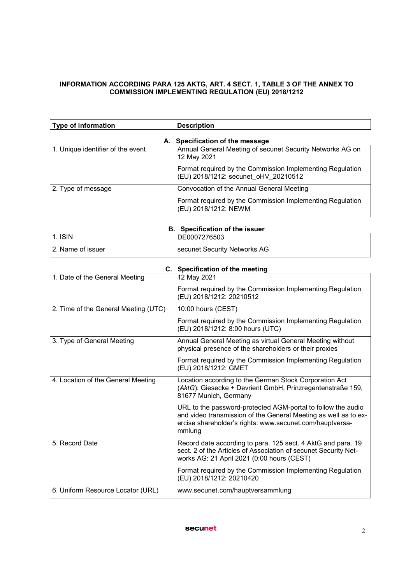#### INFORMATION ACCORDING PARA 125 AKTG, ART. 4 SECT. 1, TABLE 3 OF THE ANNEX TO COMMISSION IMPLEMENTING REGULATION (EU) 2018/1212

| Type of information                  | <b>Description</b>                                                                                                                                                                                    |  |  |  |  |
|--------------------------------------|-------------------------------------------------------------------------------------------------------------------------------------------------------------------------------------------------------|--|--|--|--|
| A. Specification of the message      |                                                                                                                                                                                                       |  |  |  |  |
| 1. Unique identifier of the event    | Annual General Meeting of secunet Security Networks AG on<br>12 May 2021                                                                                                                              |  |  |  |  |
|                                      | Format required by the Commission Implementing Regulation<br>(EU) 2018/1212: secunet_oHV_20210512                                                                                                     |  |  |  |  |
| 2. Type of message                   | Convocation of the Annual General Meeting                                                                                                                                                             |  |  |  |  |
|                                      | Format required by the Commission Implementing Regulation<br>(EU) 2018/1212: NEWM                                                                                                                     |  |  |  |  |
|                                      | B. Specification of the issuer                                                                                                                                                                        |  |  |  |  |
| 1. ISIN                              | DE0007276503                                                                                                                                                                                          |  |  |  |  |
| 2. Name of issuer                    | secunet Security Networks AG                                                                                                                                                                          |  |  |  |  |
| C. Specification of the meeting      |                                                                                                                                                                                                       |  |  |  |  |
| 1. Date of the General Meeting       | 12 May 2021                                                                                                                                                                                           |  |  |  |  |
|                                      | Format required by the Commission Implementing Regulation<br>(EU) 2018/1212: 20210512                                                                                                                 |  |  |  |  |
| 2. Time of the General Meeting (UTC) | 10:00 hours (CEST)                                                                                                                                                                                    |  |  |  |  |
|                                      | Format required by the Commission Implementing Regulation<br>(EU) 2018/1212: 8:00 hours (UTC)                                                                                                         |  |  |  |  |
| 3. Type of General Meeting           | Annual General Meeting as virtual General Meeting without<br>physical presence of the shareholders or their proxies                                                                                   |  |  |  |  |
|                                      | Format required by the Commission Implementing Regulation<br>(EU) 2018/1212: GMET                                                                                                                     |  |  |  |  |
| 4. Location of the General Meeting   | Location according to the German Stock Corporation Act<br>(AktG): Giesecke + Devrient GmbH, Prinzregentenstraße 159,<br>81677 Munich, Germany                                                         |  |  |  |  |
|                                      | URL to the password-protected AGM-portal to follow the audio<br>and video transmission of the General Meeting as well as to ex-<br>ercise shareholder's rights: www.secunet.com/hauptversa-<br>mmlung |  |  |  |  |
| 5. Record Date                       | Record date according to para. 125 sect. 4 AktG and para. 19<br>sect. 2 of the Articles of Association of secunet Security Net-<br>works AG: 21 April 2021 (0:00 hours (CEST)                         |  |  |  |  |
|                                      | Format required by the Commission Implementing Regulation<br>(EU) 2018/1212: 20210420                                                                                                                 |  |  |  |  |
| 6. Uniform Resource Locator (URL)    | www.secunet.com/hauptversammlung                                                                                                                                                                      |  |  |  |  |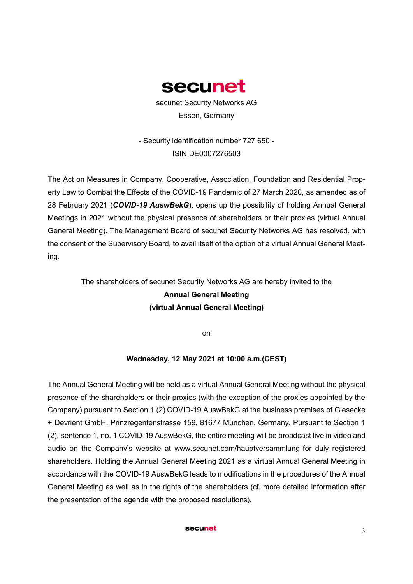

secunet Security Networks AG Essen, Germany

- Security identification number 727 650 - ISIN DE0007276503

The Act on Measures in Company, Cooperative, Association, Foundation and Residential Property Law to Combat the Effects of the COVID-19 Pandemic of 27 March 2020, as amended as of 28 February 2021 (*COVID-19 AuswBekG*), opens up the possibility of holding Annual General Meetings in 2021 without the physical presence of shareholders or their proxies (virtual Annual General Meeting). The Management Board of secunet Security Networks AG has resolved, with the consent of the Supervisory Board, to avail itself of the option of a virtual Annual General Meeting.

# The shareholders of secunet Security Networks AG are hereby invited to the Annual General Meeting (virtual Annual General Meeting)

on

### Wednesday, 12 May 2021 at 10:00 a.m.(CEST)

The Annual General Meeting will be held as a virtual Annual General Meeting without the physical presence of the shareholders or their proxies (with the exception of the proxies appointed by the Company) pursuant to Section 1 (2) COVID-19 AuswBekG at the business premises of Giesecke + Devrient GmbH, Prinzregentenstrasse 159, 81677 München, Germany. Pursuant to Section 1 (2), sentence 1, no. 1 COVID-19 AuswBekG, the entire meeting will be broadcast live in video and audio on the Company's website at www.secunet.com/hauptversammlung for duly registered shareholders. Holding the Annual General Meeting 2021 as a virtual Annual General Meeting in accordance with the COVID-19 AuswBekG leads to modifications in the procedures of the Annual General Meeting as well as in the rights of the shareholders (cf. more detailed information after the presentation of the agenda with the proposed resolutions).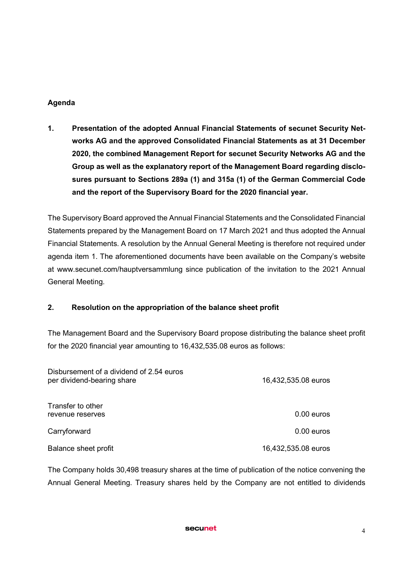## Agenda

1. Presentation of the adopted Annual Financial Statements of secunet Security Networks AG and the approved Consolidated Financial Statements as at 31 December 2020, the combined Management Report for secunet Security Networks AG and the Group as well as the explanatory report of the Management Board regarding disclosures pursuant to Sections 289a (1) and 315a (1) of the German Commercial Code and the report of the Supervisory Board for the 2020 financial year.

The Supervisory Board approved the Annual Financial Statements and the Consolidated Financial Statements prepared by the Management Board on 17 March 2021 and thus adopted the Annual Financial Statements. A resolution by the Annual General Meeting is therefore not required under agenda item 1. The aforementioned documents have been available on the Company's website at www.secunet.com/hauptversammlung since publication of the invitation to the 2021 Annual General Meeting.

# 2. Resolution on the appropriation of the balance sheet profit

The Management Board and the Supervisory Board propose distributing the balance sheet profit for the 2020 financial year amounting to 16,432,535.08 euros as follows:

| Disbursement of a dividend of 2.54 euros<br>per dividend-bearing share | 16,432,535.08 euros |
|------------------------------------------------------------------------|---------------------|
| Transfer to other<br>revenue reserves                                  | $0.00$ euros        |
| Carryforward                                                           | $0.00$ euros        |
| Balance sheet profit                                                   | 16,432,535.08 euros |

The Company holds 30,498 treasury shares at the time of publication of the notice convening the Annual General Meeting. Treasury shares held by the Company are not entitled to dividends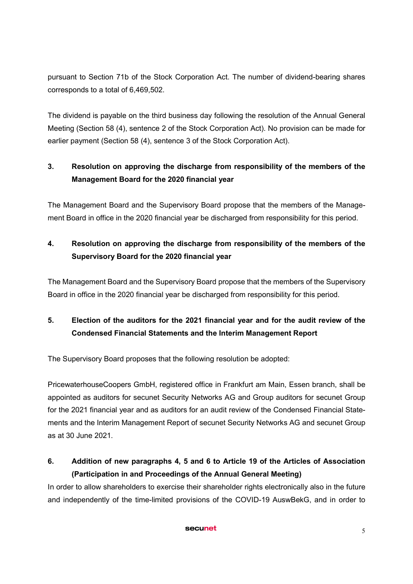pursuant to Section 71b of the Stock Corporation Act. The number of dividend-bearing shares corresponds to a total of 6,469,502.

The dividend is payable on the third business day following the resolution of the Annual General Meeting (Section 58 (4), sentence 2 of the Stock Corporation Act). No provision can be made for earlier payment (Section 58 (4), sentence 3 of the Stock Corporation Act).

# 3. Resolution on approving the discharge from responsibility of the members of the Management Board for the 2020 financial year

The Management Board and the Supervisory Board propose that the members of the Management Board in office in the 2020 financial year be discharged from responsibility for this period.

# 4. Resolution on approving the discharge from responsibility of the members of the Supervisory Board for the 2020 financial year

The Management Board and the Supervisory Board propose that the members of the Supervisory Board in office in the 2020 financial year be discharged from responsibility for this period.

# 5. Election of the auditors for the 2021 financial year and for the audit review of the Condensed Financial Statements and the Interim Management Report

The Supervisory Board proposes that the following resolution be adopted:

PricewaterhouseCoopers GmbH, registered office in Frankfurt am Main, Essen branch, shall be appointed as auditors for secunet Security Networks AG and Group auditors for secunet Group for the 2021 financial year and as auditors for an audit review of the Condensed Financial Statements and the Interim Management Report of secunet Security Networks AG and secunet Group as at 30 June 2021.

# 6. Addition of new paragraphs 4, 5 and 6 to Article 19 of the Articles of Association (Participation in and Proceedings of the Annual General Meeting)

In order to allow shareholders to exercise their shareholder rights electronically also in the future and independently of the time-limited provisions of the COVID-19 AuswBekG, and in order to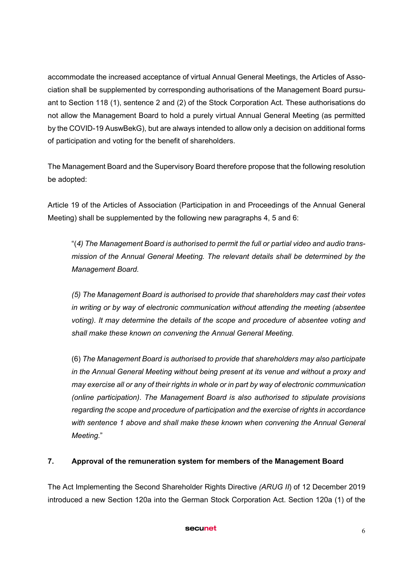accommodate the increased acceptance of virtual Annual General Meetings, the Articles of Association shall be supplemented by corresponding authorisations of the Management Board pursuant to Section 118 (1), sentence 2 and (2) of the Stock Corporation Act. These authorisations do not allow the Management Board to hold a purely virtual Annual General Meeting (as permitted by the COVID-19 AuswBekG), but are always intended to allow only a decision on additional forms of participation and voting for the benefit of shareholders.

The Management Board and the Supervisory Board therefore propose that the following resolution be adopted:

Article 19 of the Articles of Association (Participation in and Proceedings of the Annual General Meeting) shall be supplemented by the following new paragraphs 4, 5 and 6:

"(*4) The Management Board is authorised to permit the full or partial video and audio transmission of the Annual General Meeting. The relevant details shall be determined by the Management Board.* 

*(5) The Management Board is authorised to provide that shareholders may cast their votes in writing or by way of electronic communication without attending the meeting (absentee voting). It may determine the details of the scope and procedure of absentee voting and shall make these known on convening the Annual General Meeting.*

(6) *The Management Board is authorised to provide that shareholders may also participate in the Annual General Meeting without being present at its venue and without a proxy and may exercise all or any of their rights in whole or in part by way of electronic communication (online participation)*. *The Management Board is also authorised to stipulate provisions regarding the scope and procedure of participation and the exercise of rights in accordance with sentence 1 above and shall make these known when convening the Annual General Meeting.*"

# 7. Approval of the remuneration system for members of the Management Board

The Act Implementing the Second Shareholder Rights Directive *(ARUG II*) of 12 December 2019 introduced a new Section 120a into the German Stock Corporation Act. Section 120a (1) of the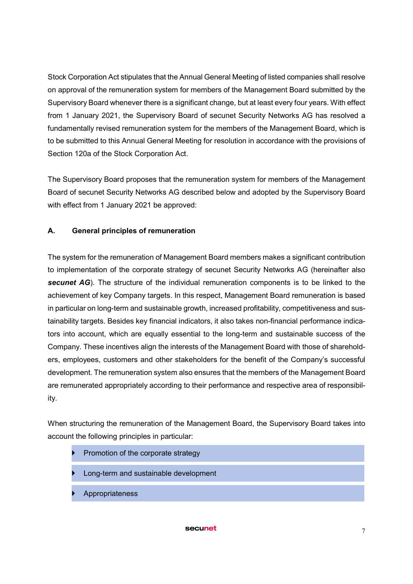Stock Corporation Act stipulates that the Annual General Meeting of listed companies shall resolve on approval of the remuneration system for members of the Management Board submitted by the Supervisory Board whenever there is a significant change, but at least every four years. With effect from 1 January 2021, the Supervisory Board of secunet Security Networks AG has resolved a fundamentally revised remuneration system for the members of the Management Board, which is to be submitted to this Annual General Meeting for resolution in accordance with the provisions of Section 120a of the Stock Corporation Act.

The Supervisory Board proposes that the remuneration system for members of the Management Board of secunet Security Networks AG described below and adopted by the Supervisory Board with effect from 1 January 2021 be approved:

# A. General principles of remuneration

The system for the remuneration of Management Board members makes a significant contribution to implementation of the corporate strategy of secunet Security Networks AG (hereinafter also *secunet AG*). The structure of the individual remuneration components is to be linked to the achievement of key Company targets. In this respect, Management Board remuneration is based in particular on long-term and sustainable growth, increased profitability, competitiveness and sustainability targets. Besides key financial indicators, it also takes non-financial performance indicators into account, which are equally essential to the long-term and sustainable success of the Company. These incentives align the interests of the Management Board with those of shareholders, employees, customers and other stakeholders for the benefit of the Company's successful development. The remuneration system also ensures that the members of the Management Board are remunerated appropriately according to their performance and respective area of responsibility.

When structuring the remuneration of the Management Board, the Supervisory Board takes into account the following principles in particular:

- Promotion of the corporate strategy
- Long-term and sustainable development
- Appropriateness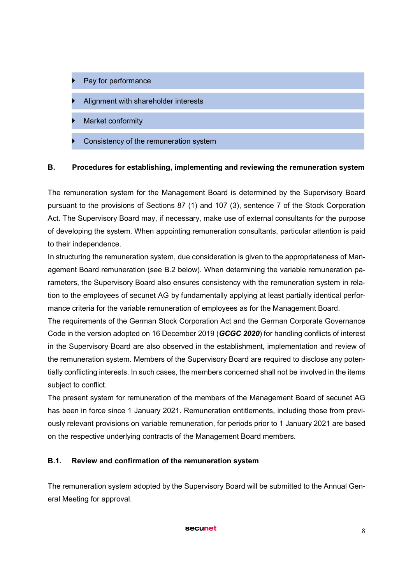- Pay for performance
- Alignment with shareholder interests
- Market conformity
- Consistency of the remuneration system

#### B. Procedures for establishing, implementing and reviewing the remuneration system

The remuneration system for the Management Board is determined by the Supervisory Board pursuant to the provisions of Sections 87 (1) and 107 (3), sentence 7 of the Stock Corporation Act. The Supervisory Board may, if necessary, make use of external consultants for the purpose of developing the system. When appointing remuneration consultants, particular attention is paid to their independence.

In structuring the remuneration system, due consideration is given to the appropriateness of Management Board remuneration (see B.2 below). When determining the variable remuneration parameters, the Supervisory Board also ensures consistency with the remuneration system in relation to the employees of secunet AG by fundamentally applying at least partially identical performance criteria for the variable remuneration of employees as for the Management Board.

The requirements of the German Stock Corporation Act and the German Corporate Governance Code in the version adopted on 16 December 2019 (*GCGC 2020*) for handling conflicts of interest in the Supervisory Board are also observed in the establishment, implementation and review of the remuneration system. Members of the Supervisory Board are required to disclose any potentially conflicting interests. In such cases, the members concerned shall not be involved in the items subject to conflict.

The present system for remuneration of the members of the Management Board of secunet AG has been in force since 1 January 2021. Remuneration entitlements, including those from previously relevant provisions on variable remuneration, for periods prior to 1 January 2021 are based on the respective underlying contracts of the Management Board members.

### B.1. Review and confirmation of the remuneration system

The remuneration system adopted by the Supervisory Board will be submitted to the Annual General Meeting for approval.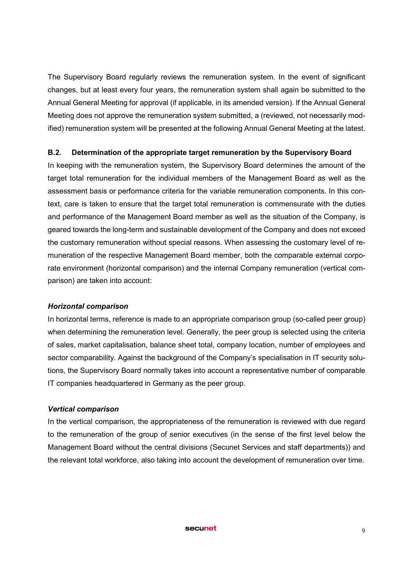The Supervisory Board regularly reviews the remuneration system. In the event of significant changes, but at least every four years, the remuneration system shall again be submitted to the Annual General Meeting for approval (if applicable, in its amended version). If the Annual General Meeting does not approve the remuneration system submitted, a (reviewed, not necessarily modified) remuneration system will be presented at the following Annual General Meeting at the latest.

## B.2. Determination of the appropriate target remuneration by the Supervisory Board

In keeping with the remuneration system, the Supervisory Board determines the amount of the target total remuneration for the individual members of the Management Board as well as the assessment basis or performance criteria for the variable remuneration components. In this context, care is taken to ensure that the target total remuneration is commensurate with the duties and performance of the Management Board member as well as the situation of the Company, is geared towards the long-term and sustainable development of the Company and does not exceed the customary remuneration without special reasons. When assessing the customary level of remuneration of the respective Management Board member, both the comparable external corporate environment (horizontal comparison) and the internal Company remuneration (vertical comparison) are taken into account:

### *Horizontal comparison*

In horizontal terms, reference is made to an appropriate comparison group (so-called peer group) when determining the remuneration level. Generally, the peer group is selected using the criteria of sales, market capitalisation, balance sheet total, company location, number of employees and sector comparability. Against the background of the Company's specialisation in IT security solutions, the Supervisory Board normally takes into account a representative number of comparable IT companies headquartered in Germany as the peer group.

### *Vertical comparison*

In the vertical comparison, the appropriateness of the remuneration is reviewed with due regard to the remuneration of the group of senior executives (in the sense of the first level below the Management Board without the central divisions (Secunet Services and staff departments)) and the relevant total workforce, also taking into account the development of remuneration over time.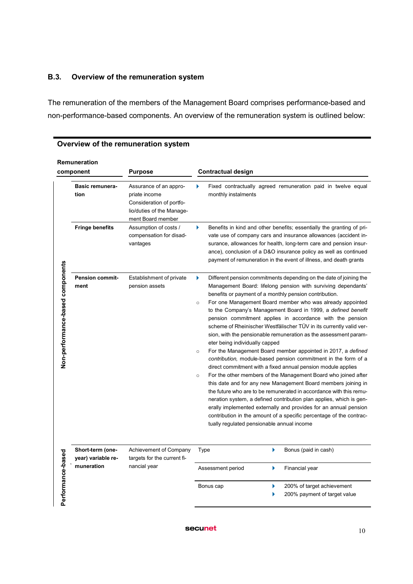### B.3. Overview of the remuneration system

The remuneration of the members of the Management Board comprises performance-based and non-performance-based components. An overview of the remuneration system is outlined below:

|                                  | Remuneration<br>component              | <b>Purpose</b>                                                                                                        | <b>Contractual design</b>                                             |                                                                                                                                                                                                                                                                                                                                                                                                                                                                                                                                                                                                                                                                                                                                                                                                                                                                                                                                                                                                                                                                                                                                                                                                               |  |
|----------------------------------|----------------------------------------|-----------------------------------------------------------------------------------------------------------------------|-----------------------------------------------------------------------|---------------------------------------------------------------------------------------------------------------------------------------------------------------------------------------------------------------------------------------------------------------------------------------------------------------------------------------------------------------------------------------------------------------------------------------------------------------------------------------------------------------------------------------------------------------------------------------------------------------------------------------------------------------------------------------------------------------------------------------------------------------------------------------------------------------------------------------------------------------------------------------------------------------------------------------------------------------------------------------------------------------------------------------------------------------------------------------------------------------------------------------------------------------------------------------------------------------|--|
|                                  | <b>Basic remunera-</b><br>tion         | Assurance of an appro-<br>priate income<br>Consideration of portfo-<br>lio/duties of the Manage-<br>ment Board member | Þ<br>monthly instalments                                              | Fixed contractually agreed remuneration paid in twelve equal                                                                                                                                                                                                                                                                                                                                                                                                                                                                                                                                                                                                                                                                                                                                                                                                                                                                                                                                                                                                                                                                                                                                                  |  |
|                                  | <b>Fringe benefits</b>                 | Assumption of costs /<br>compensation for disad-<br>vantages                                                          |                                                                       | Benefits in kind and other benefits; essentially the granting of pri-<br>vate use of company cars and insurance allowances (accident in-<br>surance, allowances for health, long-term care and pension insur-<br>ance), conclusion of a D&O insurance policy as well as continued<br>payment of remuneration in the event of illness, and death grants                                                                                                                                                                                                                                                                                                                                                                                                                                                                                                                                                                                                                                                                                                                                                                                                                                                        |  |
| Non-performance-based components | <b>Pension commit-</b><br>ment         | Establishment of private<br>pension assets                                                                            | Þ<br>$\Omega$<br>eter being individually capped<br>$\circ$<br>$\circ$ | Different pension commitments depending on the date of joining the<br>Management Board: lifelong pension with surviving dependants'<br>benefits or payment of a monthly pension contribution.<br>For one Management Board member who was already appointed<br>to the Company's Management Board in 1999, a defined benefit<br>pension commitment applies in accordance with the pension<br>scheme of Rheinischer Westfälischer TÜV in its currently valid ver-<br>sion, with the pensionable remuneration as the assessment param-<br>For the Management Board member appointed in 2017, a defined<br>contribution, module-based pension commitment in the form of a<br>direct commitment with a fixed annual pension module applies<br>For the other members of the Management Board who joined after<br>this date and for any new Management Board members joining in<br>the future who are to be remunerated in accordance with this remu-<br>neration system, a defined contribution plan applies, which is gen-<br>erally implemented externally and provides for an annual pension<br>contribution in the amount of a specific percentage of the contrac-<br>tually regulated pensionable annual income |  |
|                                  | Short-term (one-<br>year) variable re- | Achievement of Company<br>targets for the current fi-                                                                 | Type                                                                  | ь<br>Bonus (paid in cash)                                                                                                                                                                                                                                                                                                                                                                                                                                                                                                                                                                                                                                                                                                                                                                                                                                                                                                                                                                                                                                                                                                                                                                                     |  |
|                                  | muneration                             | nancial year                                                                                                          | Assessment period                                                     | Þ<br><b>Financial year</b>                                                                                                                                                                                                                                                                                                                                                                                                                                                                                                                                                                                                                                                                                                                                                                                                                                                                                                                                                                                                                                                                                                                                                                                    |  |
| Performance-based                |                                        |                                                                                                                       | Bonus cap                                                             | 200% of target achievement<br>200% payment of target value                                                                                                                                                                                                                                                                                                                                                                                                                                                                                                                                                                                                                                                                                                                                                                                                                                                                                                                                                                                                                                                                                                                                                    |  |

# Overview of the remuneration system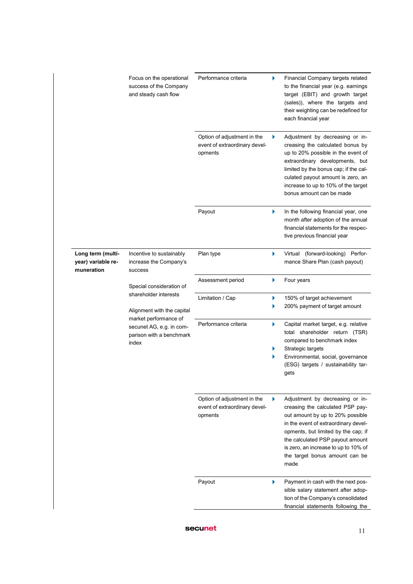|                                                       | Focus on the operational<br>success of the Company<br>and steady cash flow             | Performance criteria                                                    | Þ | Financial Company targets related<br>to the financial year (e.g. earnings<br>target (EBIT) and growth target<br>(sales)), where the targets and<br>their weighting can be redefined for<br>each financial year                                                                                               |
|-------------------------------------------------------|----------------------------------------------------------------------------------------|-------------------------------------------------------------------------|---|--------------------------------------------------------------------------------------------------------------------------------------------------------------------------------------------------------------------------------------------------------------------------------------------------------------|
|                                                       |                                                                                        | Option of adjustment in the<br>event of extraordinary devel-<br>opments | Þ | Adjustment by decreasing or in-<br>creasing the calculated bonus by<br>up to 20% possible in the event of<br>extraordinary developments, but<br>limited by the bonus cap; if the cal-<br>culated payout amount is zero, an<br>increase to up to 10% of the target<br>bonus amount can be made                |
|                                                       |                                                                                        | Payout                                                                  | ▶ | In the following financial year, one<br>month after adoption of the annual<br>financial statements for the respec-<br>tive previous financial year                                                                                                                                                           |
| Long term (multi-<br>year) variable re-<br>muneration | Incentive to sustainably<br>increase the Company's<br>success                          | Plan type                                                               | ▶ | Virtual (forward-looking) Perfor-<br>mance Share Plan (cash payout)                                                                                                                                                                                                                                          |
|                                                       | Special consideration of                                                               | Assessment period                                                       | Þ | Four years                                                                                                                                                                                                                                                                                                   |
|                                                       | shareholder interests<br>Alignment with the capital                                    | Limitation / Cap                                                        | Þ | 150% of target achievement<br>200% payment of target amount                                                                                                                                                                                                                                                  |
|                                                       | market performance of<br>secunet AG, e.g. in com-<br>parison with a benchmark<br>index | Performance criteria                                                    | ▶ | Capital market target, e.g. relative<br>total shareholder return (TSR)<br>compared to benchmark index<br>Strategic targets<br>Environmental, social, governance<br>(ESG) targets / sustainability tar-<br>gets                                                                                               |
|                                                       |                                                                                        | Option of adjustment in the<br>event of extraordinary devel-<br>opments | ▶ | Adjustment by decreasing or in-<br>creasing the calculated PSP pay-<br>out amount by up to 20% possible<br>in the event of extraordinary devel-<br>opments, but limited by the cap; if<br>the calculated PSP payout amount<br>is zero, an increase to up to 10% of<br>the target bonus amount can be<br>made |
|                                                       |                                                                                        | Payout                                                                  | Þ | Payment in cash with the next pos-<br>sible salary statement after adop-<br>tion of the Company's consolidated<br>financial statements following the                                                                                                                                                         |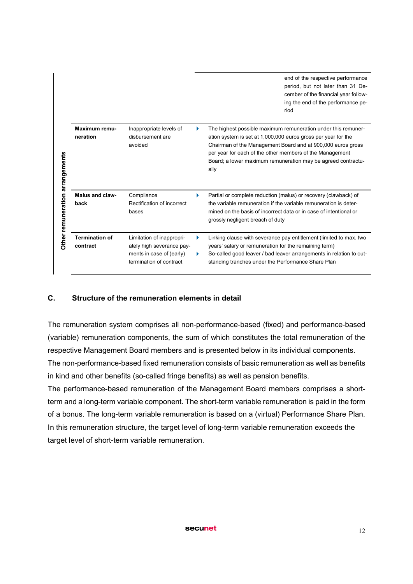|                                    |                                   |                                                                                                               |   | end of the respective performance<br>period, but not later than 31 De-<br>cember of the financial year follow-<br>ing the end of the performance pe-<br>riod                                                                                                                                                                      |
|------------------------------------|-----------------------------------|---------------------------------------------------------------------------------------------------------------|---|-----------------------------------------------------------------------------------------------------------------------------------------------------------------------------------------------------------------------------------------------------------------------------------------------------------------------------------|
| arrangements<br>Other remuneration | Maximum remu-<br>neration         | Inappropriate levels of<br>disbursement are<br>avoided                                                        |   | The highest possible maximum remuneration under this remuner-<br>ation system is set at 1,000,000 euros gross per year for the<br>Chairman of the Management Board and at 900,000 euros gross<br>per year for each of the other members of the Management<br>Board; a lower maximum remuneration may be agreed contractu-<br>ally |
|                                    | <b>Malus and claw-</b><br>back    | Compliance<br>Rectification of incorrect<br>bases                                                             | ▶ | Partial or complete reduction (malus) or recovery (clawback) of<br>the variable remuneration if the variable remuneration is deter-<br>mined on the basis of incorrect data or in case of intentional or<br>grossly negligent breach of duty                                                                                      |
|                                    | <b>Termination of</b><br>contract | Limitation of inappropri-<br>ately high severance pay-<br>ments in case of (early)<br>termination of contract |   | Linking clause with severance pay entitlement (limited to max. two<br>years' salary or remuneration for the remaining term)<br>So-called good leaver / bad leaver arrangements in relation to out-<br>standing tranches under the Performance Share Plan                                                                          |

# C. Structure of the remuneration elements in detail

The remuneration system comprises all non-performance-based (fixed) and performance-based (variable) remuneration components, the sum of which constitutes the total remuneration of the respective Management Board members and is presented below in its individual components. The non-performance-based fixed remuneration consists of basic remuneration as well as benefits in kind and other benefits (so-called fringe benefits) as well as pension benefits.

The performance-based remuneration of the Management Board members comprises a shortterm and a long-term variable component. The short-term variable remuneration is paid in the form of a bonus. The long-term variable remuneration is based on a (virtual) Performance Share Plan. In this remuneration structure, the target level of long-term variable remuneration exceeds the target level of short-term variable remuneration.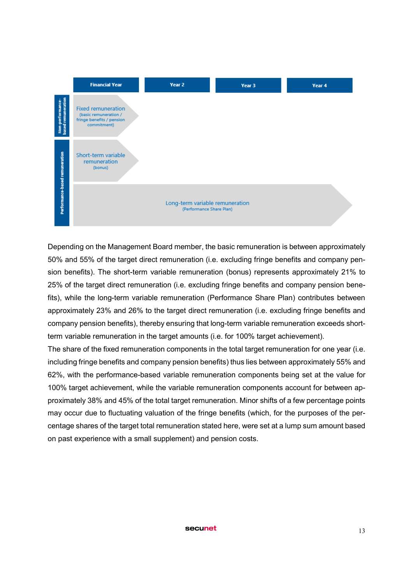

Depending on the Management Board member, the basic remuneration is between approximately 50% and 55% of the target direct remuneration (i.e. excluding fringe benefits and company pension benefits). The short-term variable remuneration (bonus) represents approximately 21% to 25% of the target direct remuneration (i.e. excluding fringe benefits and company pension benefits), while the long-term variable remuneration (Performance Share Plan) contributes between approximately 23% and 26% to the target direct remuneration (i.e. excluding fringe benefits and company pension benefits), thereby ensuring that long-term variable remuneration exceeds shortterm variable remuneration in the target amounts (i.e. for 100% target achievement).

The share of the fixed remuneration components in the total target remuneration for one year (i.e. including fringe benefits and company pension benefits) thus lies between approximately 55% and 62%, with the performance-based variable remuneration components being set at the value for 100% target achievement, while the variable remuneration components account for between approximately 38% and 45% of the total target remuneration. Minor shifts of a few percentage points may occur due to fluctuating valuation of the fringe benefits (which, for the purposes of the percentage shares of the target total remuneration stated here, were set at a lump sum amount based on past experience with a small supplement) and pension costs.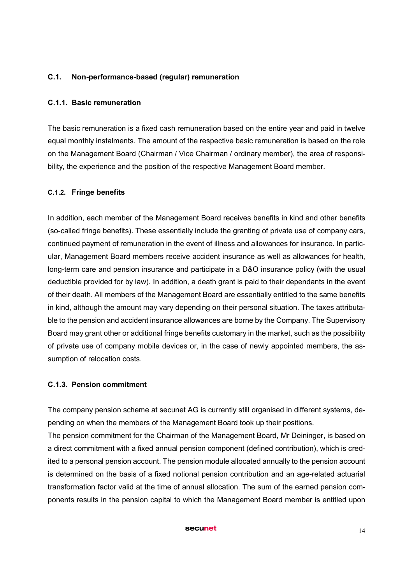## C.1. Non-performance-based (regular) remuneration

### C.1.1. Basic remuneration

The basic remuneration is a fixed cash remuneration based on the entire year and paid in twelve equal monthly instalments. The amount of the respective basic remuneration is based on the role on the Management Board (Chairman / Vice Chairman / ordinary member), the area of responsibility, the experience and the position of the respective Management Board member.

### C.1.2. Fringe benefits

In addition, each member of the Management Board receives benefits in kind and other benefits (so-called fringe benefits). These essentially include the granting of private use of company cars, continued payment of remuneration in the event of illness and allowances for insurance. In particular, Management Board members receive accident insurance as well as allowances for health, long-term care and pension insurance and participate in a D&O insurance policy (with the usual deductible provided for by law). In addition, a death grant is paid to their dependants in the event of their death. All members of the Management Board are essentially entitled to the same benefits in kind, although the amount may vary depending on their personal situation. The taxes attributable to the pension and accident insurance allowances are borne by the Company. The Supervisory Board may grant other or additional fringe benefits customary in the market, such as the possibility of private use of company mobile devices or, in the case of newly appointed members, the assumption of relocation costs.

## C.1.3. Pension commitment

The company pension scheme at secunet AG is currently still organised in different systems, depending on when the members of the Management Board took up their positions.

The pension commitment for the Chairman of the Management Board, Mr Deininger, is based on a direct commitment with a fixed annual pension component (defined contribution), which is credited to a personal pension account. The pension module allocated annually to the pension account is determined on the basis of a fixed notional pension contribution and an age-related actuarial transformation factor valid at the time of annual allocation. The sum of the earned pension components results in the pension capital to which the Management Board member is entitled upon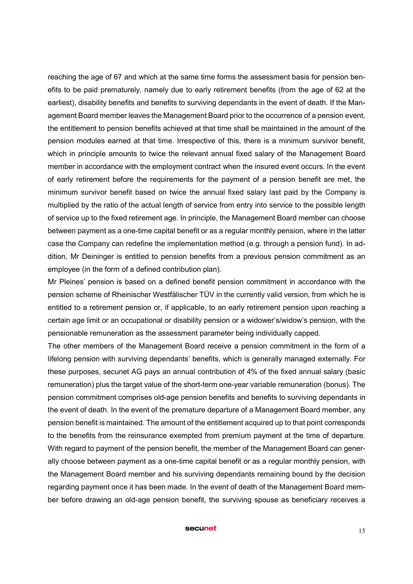reaching the age of 67 and which at the same time forms the assessment basis for pension benefits to be paid prematurely, namely due to early retirement benefits (from the age of 62 at the earliest), disability benefits and benefits to surviving dependants in the event of death. If the Management Board member leaves the Management Board prior to the occurrence of a pension event, the entitlement to pension benefits achieved at that time shall be maintained in the amount of the pension modules earned at that time. Irrespective of this, there is a minimum survivor benefit, which in principle amounts to twice the relevant annual fixed salary of the Management Board member in accordance with the employment contract when the insured event occurs. In the event of early retirement before the requirements for the payment of a pension benefit are met, the minimum survivor benefit based on twice the annual fixed salary last paid by the Company is multiplied by the ratio of the actual length of service from entry into service to the possible length of service up to the fixed retirement age. In principle, the Management Board member can choose between payment as a one-time capital benefit or as a regular monthly pension, where in the latter case the Company can redefine the implementation method (e.g. through a pension fund). In addition, Mr Deininger is entitled to pension benefits from a previous pension commitment as an employee (in the form of a defined contribution plan).

Mr Pleines' pension is based on a defined benefit pension commitment in accordance with the pension scheme of Rheinischer Westfälischer TÜV in the currently valid version, from which he is entitled to a retirement pension or, if applicable, to an early retirement pension upon reaching a certain age limit or an occupational or disability pension or a widower's/widow's pension, with the pensionable remuneration as the assessment parameter being individually capped.

The other members of the Management Board receive a pension commitment in the form of a lifelong pension with surviving dependants' benefits, which is generally managed externally. For these purposes, secunet AG pays an annual contribution of 4% of the fixed annual salary (basic remuneration) plus the target value of the short-term one-year variable remuneration (bonus). The pension commitment comprises old-age pension benefits and benefits to surviving dependants in the event of death. In the event of the premature departure of a Management Board member, any pension benefit is maintained. The amount of the entitlement acquired up to that point corresponds to the benefits from the reinsurance exempted from premium payment at the time of departure. With regard to payment of the pension benefit, the member of the Management Board can generally choose between payment as a one-time capital benefit or as a regular monthly pension, with the Management Board member and his surviving dependants remaining bound by the decision regarding payment once it has been made. In the event of death of the Management Board member before drawing an old-age pension benefit, the surviving spouse as beneficiary receives a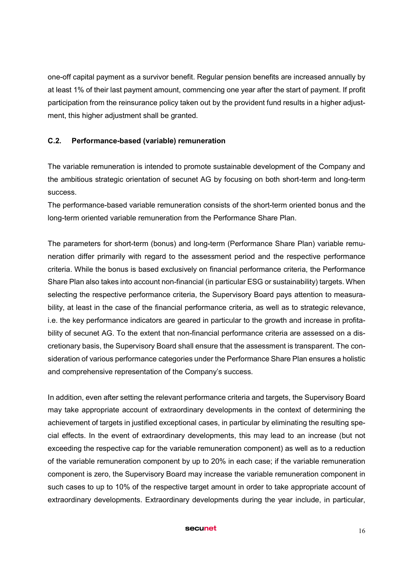one-off capital payment as a survivor benefit. Regular pension benefits are increased annually by at least 1% of their last payment amount, commencing one year after the start of payment. If profit participation from the reinsurance policy taken out by the provident fund results in a higher adjustment, this higher adjustment shall be granted.

## C.2. Performance-based (variable) remuneration

The variable remuneration is intended to promote sustainable development of the Company and the ambitious strategic orientation of secunet AG by focusing on both short-term and long-term success.

The performance-based variable remuneration consists of the short-term oriented bonus and the long-term oriented variable remuneration from the Performance Share Plan.

The parameters for short-term (bonus) and long-term (Performance Share Plan) variable remuneration differ primarily with regard to the assessment period and the respective performance criteria. While the bonus is based exclusively on financial performance criteria, the Performance Share Plan also takes into account non-financial (in particular ESG or sustainability) targets. When selecting the respective performance criteria, the Supervisory Board pays attention to measurability, at least in the case of the financial performance criteria, as well as to strategic relevance, i.e. the key performance indicators are geared in particular to the growth and increase in profitability of secunet AG. To the extent that non-financial performance criteria are assessed on a discretionary basis, the Supervisory Board shall ensure that the assessment is transparent. The consideration of various performance categories under the Performance Share Plan ensures a holistic and comprehensive representation of the Company's success.

In addition, even after setting the relevant performance criteria and targets, the Supervisory Board may take appropriate account of extraordinary developments in the context of determining the achievement of targets in justified exceptional cases, in particular by eliminating the resulting special effects. In the event of extraordinary developments, this may lead to an increase (but not exceeding the respective cap for the variable remuneration component) as well as to a reduction of the variable remuneration component by up to 20% in each case; if the variable remuneration component is zero, the Supervisory Board may increase the variable remuneration component in such cases to up to 10% of the respective target amount in order to take appropriate account of extraordinary developments. Extraordinary developments during the year include, in particular,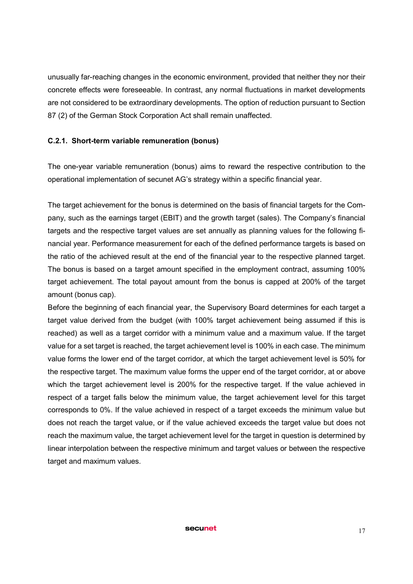unusually far-reaching changes in the economic environment, provided that neither they nor their concrete effects were foreseeable. In contrast, any normal fluctuations in market developments are not considered to be extraordinary developments. The option of reduction pursuant to Section 87 (2) of the German Stock Corporation Act shall remain unaffected.

## C.2.1. Short-term variable remuneration (bonus)

The one-year variable remuneration (bonus) aims to reward the respective contribution to the operational implementation of secunet AG's strategy within a specific financial year.

The target achievement for the bonus is determined on the basis of financial targets for the Company, such as the earnings target (EBIT) and the growth target (sales). The Company's financial targets and the respective target values are set annually as planning values for the following financial year. Performance measurement for each of the defined performance targets is based on the ratio of the achieved result at the end of the financial year to the respective planned target. The bonus is based on a target amount specified in the employment contract, assuming 100% target achievement. The total payout amount from the bonus is capped at 200% of the target amount (bonus cap).

Before the beginning of each financial year, the Supervisory Board determines for each target a target value derived from the budget (with 100% target achievement being assumed if this is reached) as well as a target corridor with a minimum value and a maximum value. If the target value for a set target is reached, the target achievement level is 100% in each case. The minimum value forms the lower end of the target corridor, at which the target achievement level is 50% for the respective target. The maximum value forms the upper end of the target corridor, at or above which the target achievement level is 200% for the respective target. If the value achieved in respect of a target falls below the minimum value, the target achievement level for this target corresponds to 0%. If the value achieved in respect of a target exceeds the minimum value but does not reach the target value, or if the value achieved exceeds the target value but does not reach the maximum value, the target achievement level for the target in question is determined by linear interpolation between the respective minimum and target values or between the respective target and maximum values.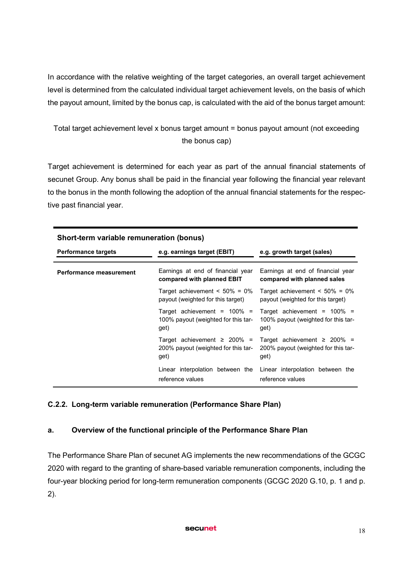In accordance with the relative weighting of the target categories, an overall target achievement level is determined from the calculated individual target achievement levels, on the basis of which the payout amount, limited by the bonus cap, is calculated with the aid of the bonus target amount:

Total target achievement level x bonus target amount = bonus payout amount (not exceeding the bonus cap)

Target achievement is determined for each year as part of the annual financial statements of secunet Group. Any bonus shall be paid in the financial year following the financial year relevant to the bonus in the month following the adoption of the annual financial statements for the respective past financial year.

| Short-term variable remuneration (bonus) |                                                                                  |                                                                                  |  |  |
|------------------------------------------|----------------------------------------------------------------------------------|----------------------------------------------------------------------------------|--|--|
| <b>Performance targets</b>               | e.g. earnings target (EBIT)                                                      | e.g. growth target (sales)                                                       |  |  |
| Performance measurement                  | Earnings at end of financial year<br>compared with planned EBIT                  | Earnings at end of financial year<br>compared with planned sales                 |  |  |
|                                          | Target achievement $\leq 50\% = 0\%$<br>payout (weighted for this target)        | Target achievement $\leq 50\% = 0\%$<br>payout (weighted for this target)        |  |  |
|                                          | Target achievement = $100\%$ =<br>100% payout (weighted for this tar-<br>get)    | Target achievement = $100\%$ =<br>100% payout (weighted for this tar-<br>get)    |  |  |
|                                          | Target achievement $\geq 200\%$ =<br>200% payout (weighted for this tar-<br>get) | Target achievement $\geq 200\% =$<br>200% payout (weighted for this tar-<br>get) |  |  |
|                                          | Linear interpolation between the<br>reference values                             | Linear interpolation between the<br>reference values                             |  |  |

### C.2.2. Long-term variable remuneration (Performance Share Plan)

### a. Overview of the functional principle of the Performance Share Plan

The Performance Share Plan of secunet AG implements the new recommendations of the GCGC 2020 with regard to the granting of share-based variable remuneration components, including the four-year blocking period for long-term remuneration components (GCGC 2020 G.10, p. 1 and p. 2).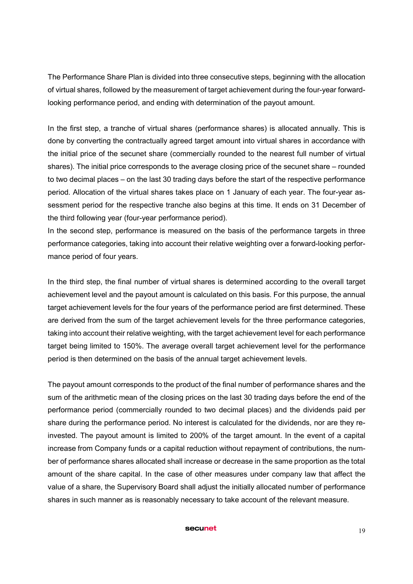The Performance Share Plan is divided into three consecutive steps, beginning with the allocation of virtual shares, followed by the measurement of target achievement during the four-year forwardlooking performance period, and ending with determination of the payout amount.

In the first step, a tranche of virtual shares (performance shares) is allocated annually. This is done by converting the contractually agreed target amount into virtual shares in accordance with the initial price of the secunet share (commercially rounded to the nearest full number of virtual shares). The initial price corresponds to the average closing price of the secunet share – rounded to two decimal places – on the last 30 trading days before the start of the respective performance period. Allocation of the virtual shares takes place on 1 January of each year. The four-year assessment period for the respective tranche also begins at this time. It ends on 31 December of the third following year (four-year performance period).

In the second step, performance is measured on the basis of the performance targets in three performance categories, taking into account their relative weighting over a forward-looking performance period of four years.

In the third step, the final number of virtual shares is determined according to the overall target achievement level and the payout amount is calculated on this basis. For this purpose, the annual target achievement levels for the four years of the performance period are first determined. These are derived from the sum of the target achievement levels for the three performance categories, taking into account their relative weighting, with the target achievement level for each performance target being limited to 150%. The average overall target achievement level for the performance period is then determined on the basis of the annual target achievement levels.

The payout amount corresponds to the product of the final number of performance shares and the sum of the arithmetic mean of the closing prices on the last 30 trading days before the end of the performance period (commercially rounded to two decimal places) and the dividends paid per share during the performance period. No interest is calculated for the dividends, nor are they reinvested. The payout amount is limited to 200% of the target amount. In the event of a capital increase from Company funds or a capital reduction without repayment of contributions, the number of performance shares allocated shall increase or decrease in the same proportion as the total amount of the share capital. In the case of other measures under company law that affect the value of a share, the Supervisory Board shall adjust the initially allocated number of performance shares in such manner as is reasonably necessary to take account of the relevant measure.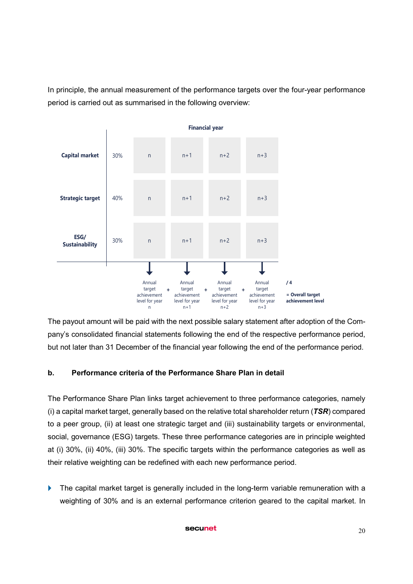In principle, the annual measurement of the performance targets over the four-year performance period is carried out as summarised in the following overview:



The payout amount will be paid with the next possible salary statement after adoption of the Company's consolidated financial statements following the end of the respective performance period, but not later than 31 December of the financial year following the end of the performance period.

# b. Performance criteria of the Performance Share Plan in detail

The Performance Share Plan links target achievement to three performance categories, namely (i) a capital market target, generally based on the relative total shareholder return (*TSR*) compared to a peer group, (ii) at least one strategic target and (iii) sustainability targets or environmental, social, governance (ESG) targets. These three performance categories are in principle weighted at (i) 30%, (ii) 40%, (iii) 30%. The specific targets within the performance categories as well as their relative weighting can be redefined with each new performance period.

The capital market target is generally included in the long-term variable remuneration with a weighting of 30% and is an external performance criterion geared to the capital market. In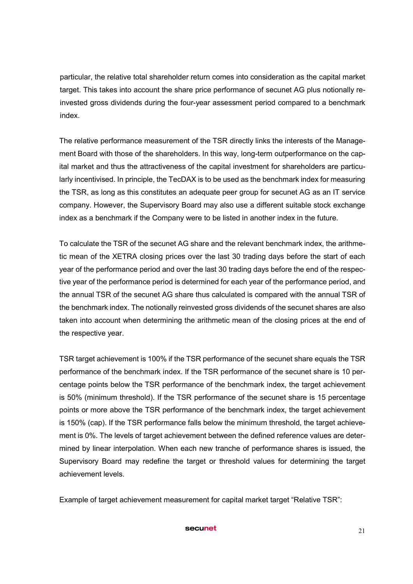particular, the relative total shareholder return comes into consideration as the capital market target. This takes into account the share price performance of secunet AG plus notionally reinvested gross dividends during the four-year assessment period compared to a benchmark index.

The relative performance measurement of the TSR directly links the interests of the Management Board with those of the shareholders. In this way, long-term outperformance on the capital market and thus the attractiveness of the capital investment for shareholders are particularly incentivised. In principle, the TecDAX is to be used as the benchmark index for measuring the TSR, as long as this constitutes an adequate peer group for secunet AG as an IT service company. However, the Supervisory Board may also use a different suitable stock exchange index as a benchmark if the Company were to be listed in another index in the future.

To calculate the TSR of the secunet AG share and the relevant benchmark index, the arithmetic mean of the XETRA closing prices over the last 30 trading days before the start of each year of the performance period and over the last 30 trading days before the end of the respective year of the performance period is determined for each year of the performance period, and the annual TSR of the secunet AG share thus calculated is compared with the annual TSR of the benchmark index. The notionally reinvested gross dividends of the secunet shares are also taken into account when determining the arithmetic mean of the closing prices at the end of the respective year.

TSR target achievement is 100% if the TSR performance of the secunet share equals the TSR performance of the benchmark index. If the TSR performance of the secunet share is 10 percentage points below the TSR performance of the benchmark index, the target achievement is 50% (minimum threshold). If the TSR performance of the secunet share is 15 percentage points or more above the TSR performance of the benchmark index, the target achievement is 150% (cap). If the TSR performance falls below the minimum threshold, the target achievement is 0%. The levels of target achievement between the defined reference values are determined by linear interpolation. When each new tranche of performance shares is issued, the Supervisory Board may redefine the target or threshold values for determining the target achievement levels.

Example of target achievement measurement for capital market target "Relative TSR":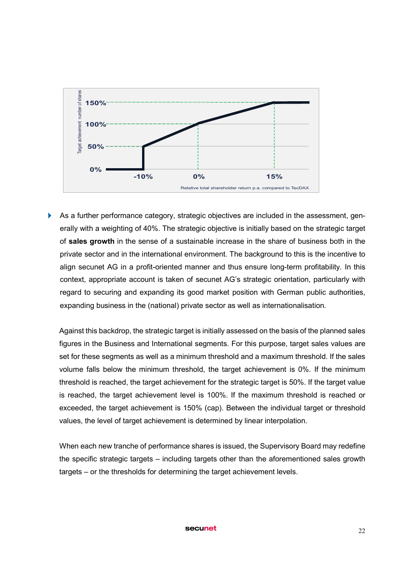

 As a further performance category, strategic objectives are included in the assessment, generally with a weighting of 40%. The strategic objective is initially based on the strategic target of sales growth in the sense of a sustainable increase in the share of business both in the private sector and in the international environment. The background to this is the incentive to align secunet AG in a profit-oriented manner and thus ensure long-term profitability. In this context, appropriate account is taken of secunet AG's strategic orientation, particularly with regard to securing and expanding its good market position with German public authorities, expanding business in the (national) private sector as well as internationalisation.

Against this backdrop, the strategic target is initially assessed on the basis of the planned sales figures in the Business and International segments. For this purpose, target sales values are set for these segments as well as a minimum threshold and a maximum threshold. If the sales volume falls below the minimum threshold, the target achievement is 0%. If the minimum threshold is reached, the target achievement for the strategic target is 50%. If the target value is reached, the target achievement level is 100%. If the maximum threshold is reached or exceeded, the target achievement is 150% (cap). Between the individual target or threshold values, the level of target achievement is determined by linear interpolation.

When each new tranche of performance shares is issued, the Supervisory Board may redefine the specific strategic targets – including targets other than the aforementioned sales growth targets – or the thresholds for determining the target achievement levels.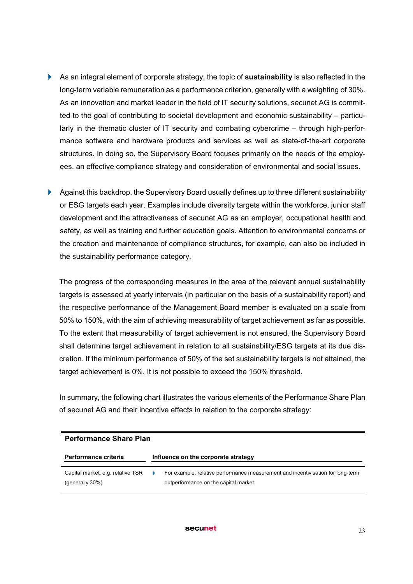- As an integral element of corporate strategy, the topic of sustainability is also reflected in the long-term variable remuneration as a performance criterion, generally with a weighting of 30%. As an innovation and market leader in the field of IT security solutions, secunet AG is committed to the goal of contributing to societal development and economic sustainability – particularly in the thematic cluster of IT security and combating cybercrime – through high-performance software and hardware products and services as well as state-of-the-art corporate structures. In doing so, the Supervisory Board focuses primarily on the needs of the employees, an effective compliance strategy and consideration of environmental and social issues.
- Against this backdrop, the Supervisory Board usually defines up to three different sustainability or ESG targets each year. Examples include diversity targets within the workforce, junior staff development and the attractiveness of secunet AG as an employer, occupational health and safety, as well as training and further education goals. Attention to environmental concerns or the creation and maintenance of compliance structures, for example, can also be included in the sustainability performance category.

The progress of the corresponding measures in the area of the relevant annual sustainability targets is assessed at yearly intervals (in particular on the basis of a sustainability report) and the respective performance of the Management Board member is evaluated on a scale from 50% to 150%, with the aim of achieving measurability of target achievement as far as possible. To the extent that measurability of target achievement is not ensured, the Supervisory Board shall determine target achievement in relation to all sustainability/ESG targets at its due discretion. If the minimum performance of 50% of the set sustainability targets is not attained, the target achievement is 0%. It is not possible to exceed the 150% threshold.

In summary, the following chart illustrates the various elements of the Performance Share Plan of secunet AG and their incentive effects in relation to the corporate strategy:

| <b>Performance Share Plan</b>                        |  |                                                                                                                         |  |  |
|------------------------------------------------------|--|-------------------------------------------------------------------------------------------------------------------------|--|--|
| <b>Performance criteria</b>                          |  | Influence on the corporate strategy                                                                                     |  |  |
| Capital market, e.g. relative TSR<br>(generally 30%) |  | For example, relative performance measurement and incentivisation for long-term<br>outperformance on the capital market |  |  |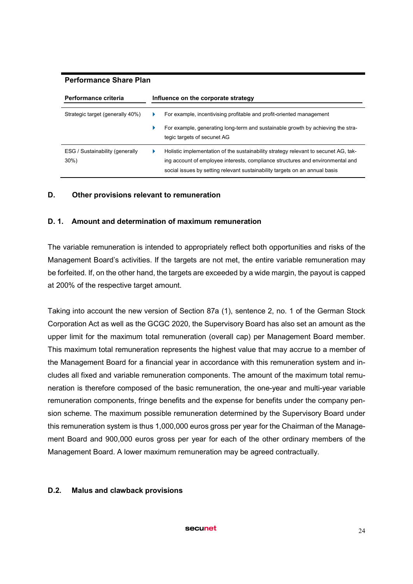#### Performance Share Plan

| <b>Performance criteria</b>                | Influence on the corporate strategy |                                                                                                                                                                                                                                                      |  |
|--------------------------------------------|-------------------------------------|------------------------------------------------------------------------------------------------------------------------------------------------------------------------------------------------------------------------------------------------------|--|
| Strategic target (generally 40%)           |                                     | For example, incentivising profitable and profit-oriented management                                                                                                                                                                                 |  |
|                                            |                                     | For example, generating long-term and sustainable growth by achieving the stra-<br>tegic targets of secunet AG                                                                                                                                       |  |
| ESG / Sustainability (generally<br>$30\%)$ |                                     | Holistic implementation of the sustainability strategy relevant to secunet AG, tak-<br>ing account of employee interests, compliance structures and environmental and<br>social issues by setting relevant sustainability targets on an annual basis |  |

### D. Other provisions relevant to remuneration

### D. 1. Amount and determination of maximum remuneration

The variable remuneration is intended to appropriately reflect both opportunities and risks of the Management Board's activities. If the targets are not met, the entire variable remuneration may be forfeited. If, on the other hand, the targets are exceeded by a wide margin, the payout is capped at 200% of the respective target amount.

Taking into account the new version of Section 87a (1), sentence 2, no. 1 of the German Stock Corporation Act as well as the GCGC 2020, the Supervisory Board has also set an amount as the upper limit for the maximum total remuneration (overall cap) per Management Board member. This maximum total remuneration represents the highest value that may accrue to a member of the Management Board for a financial year in accordance with this remuneration system and includes all fixed and variable remuneration components. The amount of the maximum total remuneration is therefore composed of the basic remuneration, the one-year and multi-year variable remuneration components, fringe benefits and the expense for benefits under the company pension scheme. The maximum possible remuneration determined by the Supervisory Board under this remuneration system is thus 1,000,000 euros gross per year for the Chairman of the Management Board and 900,000 euros gross per year for each of the other ordinary members of the Management Board. A lower maximum remuneration may be agreed contractually.

#### D.2. Malus and clawback provisions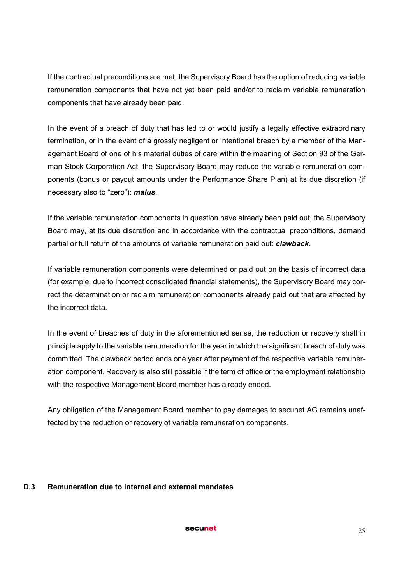If the contractual preconditions are met, the Supervisory Board has the option of reducing variable remuneration components that have not yet been paid and/or to reclaim variable remuneration components that have already been paid.

In the event of a breach of duty that has led to or would justify a legally effective extraordinary termination, or in the event of a grossly negligent or intentional breach by a member of the Management Board of one of his material duties of care within the meaning of Section 93 of the German Stock Corporation Act, the Supervisory Board may reduce the variable remuneration components (bonus or payout amounts under the Performance Share Plan) at its due discretion (if necessary also to "zero"): *malus*.

If the variable remuneration components in question have already been paid out, the Supervisory Board may, at its due discretion and in accordance with the contractual preconditions, demand partial or full return of the amounts of variable remuneration paid out: *clawback*.

If variable remuneration components were determined or paid out on the basis of incorrect data (for example, due to incorrect consolidated financial statements), the Supervisory Board may correct the determination or reclaim remuneration components already paid out that are affected by the incorrect data.

In the event of breaches of duty in the aforementioned sense, the reduction or recovery shall in principle apply to the variable remuneration for the year in which the significant breach of duty was committed. The clawback period ends one year after payment of the respective variable remuneration component. Recovery is also still possible if the term of office or the employment relationship with the respective Management Board member has already ended.

Any obligation of the Management Board member to pay damages to secunet AG remains unaffected by the reduction or recovery of variable remuneration components.

### D.3 Remuneration due to internal and external mandates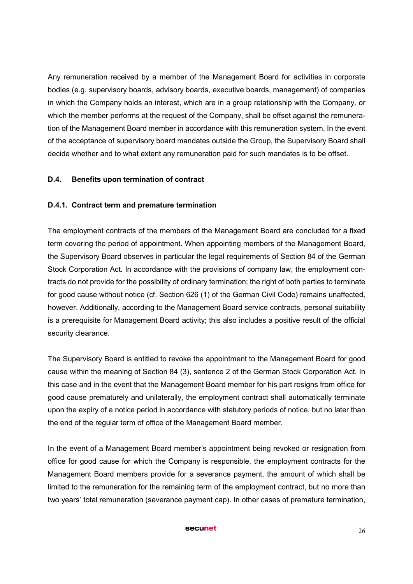Any remuneration received by a member of the Management Board for activities in corporate bodies (e.g. supervisory boards, advisory boards, executive boards, management) of companies in which the Company holds an interest, which are in a group relationship with the Company, or which the member performs at the request of the Company, shall be offset against the remuneration of the Management Board member in accordance with this remuneration system. In the event of the acceptance of supervisory board mandates outside the Group, the Supervisory Board shall decide whether and to what extent any remuneration paid for such mandates is to be offset.

## D.4. Benefits upon termination of contract

## D.4.1. Contract term and premature termination

The employment contracts of the members of the Management Board are concluded for a fixed term covering the period of appointment. When appointing members of the Management Board, the Supervisory Board observes in particular the legal requirements of Section 84 of the German Stock Corporation Act. In accordance with the provisions of company law, the employment contracts do not provide for the possibility of ordinary termination; the right of both parties to terminate for good cause without notice (cf. Section 626 (1) of the German Civil Code) remains unaffected, however. Additionally, according to the Management Board service contracts, personal suitability is a prerequisite for Management Board activity; this also includes a positive result of the official security clearance.

The Supervisory Board is entitled to revoke the appointment to the Management Board for good cause within the meaning of Section 84 (3), sentence 2 of the German Stock Corporation Act. In this case and in the event that the Management Board member for his part resigns from office for good cause prematurely and unilaterally, the employment contract shall automatically terminate upon the expiry of a notice period in accordance with statutory periods of notice, but no later than the end of the regular term of office of the Management Board member.

In the event of a Management Board member's appointment being revoked or resignation from office for good cause for which the Company is responsible, the employment contracts for the Management Board members provide for a severance payment, the amount of which shall be limited to the remuneration for the remaining term of the employment contract, but no more than two years' total remuneration (severance payment cap). In other cases of premature termination,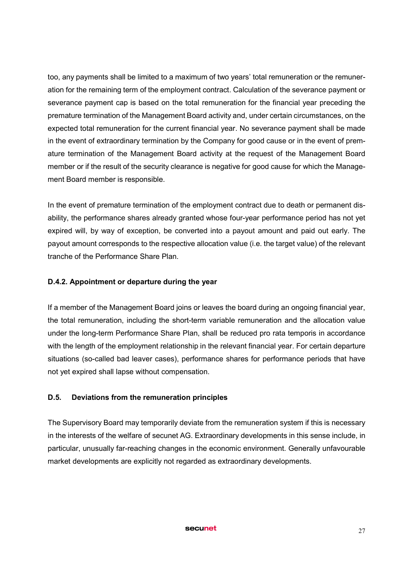too, any payments shall be limited to a maximum of two years' total remuneration or the remuneration for the remaining term of the employment contract. Calculation of the severance payment or severance payment cap is based on the total remuneration for the financial year preceding the premature termination of the Management Board activity and, under certain circumstances, on the expected total remuneration for the current financial year. No severance payment shall be made in the event of extraordinary termination by the Company for good cause or in the event of premature termination of the Management Board activity at the request of the Management Board member or if the result of the security clearance is negative for good cause for which the Management Board member is responsible.

In the event of premature termination of the employment contract due to death or permanent disability, the performance shares already granted whose four-year performance period has not yet expired will, by way of exception, be converted into a payout amount and paid out early. The payout amount corresponds to the respective allocation value (i.e. the target value) of the relevant tranche of the Performance Share Plan.

## D.4.2. Appointment or departure during the year

If a member of the Management Board joins or leaves the board during an ongoing financial year, the total remuneration, including the short-term variable remuneration and the allocation value under the long-term Performance Share Plan, shall be reduced pro rata temporis in accordance with the length of the employment relationship in the relevant financial year. For certain departure situations (so-called bad leaver cases), performance shares for performance periods that have not yet expired shall lapse without compensation.

### D.5. Deviations from the remuneration principles

The Supervisory Board may temporarily deviate from the remuneration system if this is necessary in the interests of the welfare of secunet AG. Extraordinary developments in this sense include, in particular, unusually far-reaching changes in the economic environment. Generally unfavourable market developments are explicitly not regarded as extraordinary developments.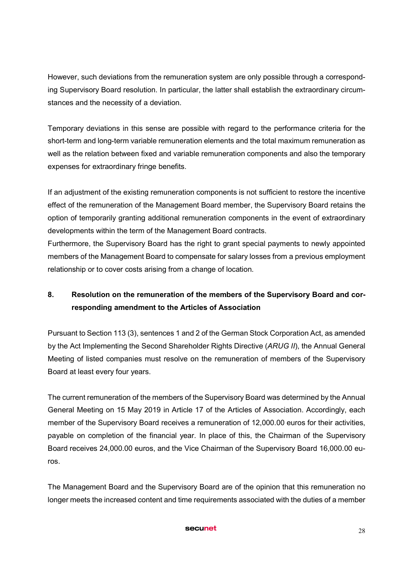However, such deviations from the remuneration system are only possible through a corresponding Supervisory Board resolution. In particular, the latter shall establish the extraordinary circumstances and the necessity of a deviation.

Temporary deviations in this sense are possible with regard to the performance criteria for the short-term and long-term variable remuneration elements and the total maximum remuneration as well as the relation between fixed and variable remuneration components and also the temporary expenses for extraordinary fringe benefits.

If an adjustment of the existing remuneration components is not sufficient to restore the incentive effect of the remuneration of the Management Board member, the Supervisory Board retains the option of temporarily granting additional remuneration components in the event of extraordinary developments within the term of the Management Board contracts.

Furthermore, the Supervisory Board has the right to grant special payments to newly appointed members of the Management Board to compensate for salary losses from a previous employment relationship or to cover costs arising from a change of location.

# 8. Resolution on the remuneration of the members of the Supervisory Board and corresponding amendment to the Articles of Association

Pursuant to Section 113 (3), sentences 1 and 2 of the German Stock Corporation Act, as amended by the Act Implementing the Second Shareholder Rights Directive (*ARUG II*), the Annual General Meeting of listed companies must resolve on the remuneration of members of the Supervisory Board at least every four years.

The current remuneration of the members of the Supervisory Board was determined by the Annual General Meeting on 15 May 2019 in Article 17 of the Articles of Association. Accordingly, each member of the Supervisory Board receives a remuneration of 12,000.00 euros for their activities, payable on completion of the financial year. In place of this, the Chairman of the Supervisory Board receives 24,000.00 euros, and the Vice Chairman of the Supervisory Board 16,000.00 euros.

The Management Board and the Supervisory Board are of the opinion that this remuneration no longer meets the increased content and time requirements associated with the duties of a member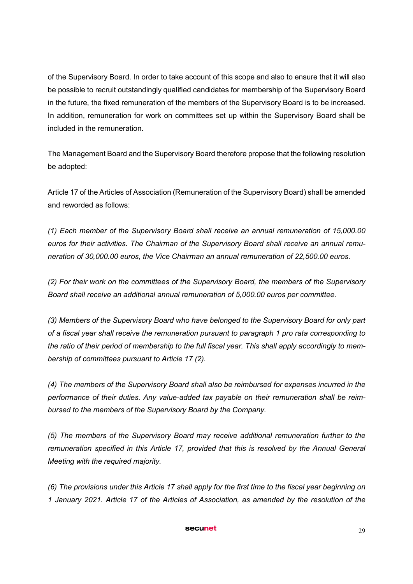of the Supervisory Board. In order to take account of this scope and also to ensure that it will also be possible to recruit outstandingly qualified candidates for membership of the Supervisory Board in the future, the fixed remuneration of the members of the Supervisory Board is to be increased. In addition, remuneration for work on committees set up within the Supervisory Board shall be included in the remuneration.

The Management Board and the Supervisory Board therefore propose that the following resolution be adopted:

Article 17 of the Articles of Association (Remuneration of the Supervisory Board) shall be amended and reworded as follows:

*(1) Each member of the Supervisory Board shall receive an annual remuneration of 15,000.00 euros for their activities. The Chairman of the Supervisory Board shall receive an annual remuneration of 30,000.00 euros, the Vice Chairman an annual remuneration of 22,500.00 euros.*

*(2) For their work on the committees of the Supervisory Board, the members of the Supervisory Board shall receive an additional annual remuneration of 5,000.00 euros per committee.* 

*(3) Members of the Supervisory Board who have belonged to the Supervisory Board for only part of a fiscal year shall receive the remuneration pursuant to paragraph 1 pro rata corresponding to the ratio of their period of membership to the full fiscal year. This shall apply accordingly to membership of committees pursuant to Article 17 (2).*

*(4) The members of the Supervisory Board shall also be reimbursed for expenses incurred in the performance of their duties. Any value-added tax payable on their remuneration shall be reimbursed to the members of the Supervisory Board by the Company.*

*(5) The members of the Supervisory Board may receive additional remuneration further to the remuneration specified in this Article 17, provided that this is resolved by the Annual General Meeting with the required majority.* 

*(6) The provisions under this Article 17 shall apply for the first time to the fiscal year beginning on 1 January 2021. Article 17 of the Articles of Association, as amended by the resolution of the*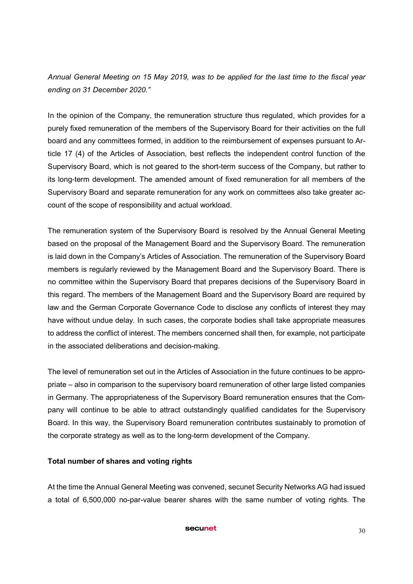*Annual General Meeting on 15 May 2019, was to be applied for the last time to the fiscal year ending on 31 December 2020."*

In the opinion of the Company, the remuneration structure thus regulated, which provides for a purely fixed remuneration of the members of the Supervisory Board for their activities on the full board and any committees formed, in addition to the reimbursement of expenses pursuant to Article 17 (4) of the Articles of Association, best reflects the independent control function of the Supervisory Board, which is not geared to the short-term success of the Company, but rather to its long-term development. The amended amount of fixed remuneration for all members of the Supervisory Board and separate remuneration for any work on committees also take greater account of the scope of responsibility and actual workload.

The remuneration system of the Supervisory Board is resolved by the Annual General Meeting based on the proposal of the Management Board and the Supervisory Board. The remuneration is laid down in the Company's Articles of Association. The remuneration of the Supervisory Board members is regularly reviewed by the Management Board and the Supervisory Board. There is no committee within the Supervisory Board that prepares decisions of the Supervisory Board in this regard. The members of the Management Board and the Supervisory Board are required by law and the German Corporate Governance Code to disclose any conflicts of interest they may have without undue delay. In such cases, the corporate bodies shall take appropriate measures to address the conflict of interest. The members concerned shall then, for example, not participate in the associated deliberations and decision-making.

The level of remuneration set out in the Articles of Association in the future continues to be appropriate – also in comparison to the supervisory board remuneration of other large listed companies in Germany. The appropriateness of the Supervisory Board remuneration ensures that the Company will continue to be able to attract outstandingly qualified candidates for the Supervisory Board. In this way, the Supervisory Board remuneration contributes sustainably to promotion of the corporate strategy as well as to the long-term development of the Company.

### Total number of shares and voting rights

At the time the Annual General Meeting was convened, secunet Security Networks AG had issued a total of 6,500,000 no-par-value bearer shares with the same number of voting rights. The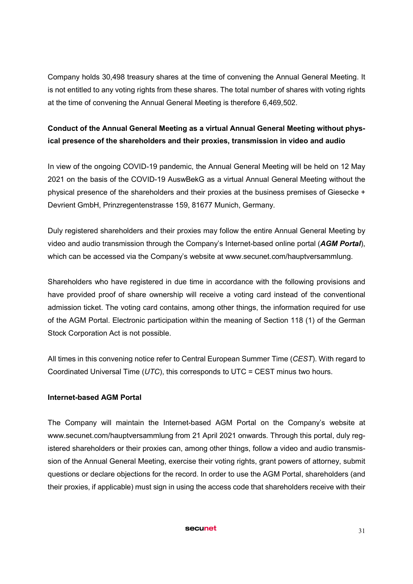Company holds 30,498 treasury shares at the time of convening the Annual General Meeting. It is not entitled to any voting rights from these shares. The total number of shares with voting rights at the time of convening the Annual General Meeting is therefore 6,469,502.

# Conduct of the Annual General Meeting as a virtual Annual General Meeting without physical presence of the shareholders and their proxies, transmission in video and audio

In view of the ongoing COVID-19 pandemic, the Annual General Meeting will be held on 12 May 2021 on the basis of the COVID-19 AuswBekG as a virtual Annual General Meeting without the physical presence of the shareholders and their proxies at the business premises of Giesecke + Devrient GmbH, Prinzregentenstrasse 159, 81677 Munich, Germany.

Duly registered shareholders and their proxies may follow the entire Annual General Meeting by video and audio transmission through the Company's Internet-based online portal (*AGM Portal*), which can be accessed via the Company's website at www.secunet.com/hauptversammlung.

Shareholders who have registered in due time in accordance with the following provisions and have provided proof of share ownership will receive a voting card instead of the conventional admission ticket. The voting card contains, among other things, the information required for use of the AGM Portal. Electronic participation within the meaning of Section 118 (1) of the German Stock Corporation Act is not possible.

All times in this convening notice refer to Central European Summer Time (*CEST*). With regard to Coordinated Universal Time (*UTC*), this corresponds to UTC = CEST minus two hours.

# Internet-based AGM Portal

The Company will maintain the Internet-based AGM Portal on the Company's website at www.secunet.com/hauptversammlung from 21 April 2021 onwards. Through this portal, duly registered shareholders or their proxies can, among other things, follow a video and audio transmission of the Annual General Meeting, exercise their voting rights, grant powers of attorney, submit questions or declare objections for the record. In order to use the AGM Portal, shareholders (and their proxies, if applicable) must sign in using the access code that shareholders receive with their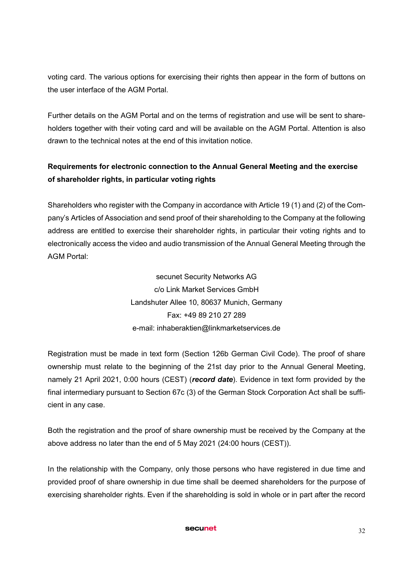voting card. The various options for exercising their rights then appear in the form of buttons on the user interface of the AGM Portal.

Further details on the AGM Portal and on the terms of registration and use will be sent to shareholders together with their voting card and will be available on the AGM Portal. Attention is also drawn to the technical notes at the end of this invitation notice.

# Requirements for electronic connection to the Annual General Meeting and the exercise of shareholder rights, in particular voting rights

Shareholders who register with the Company in accordance with Article 19 (1) and (2) of the Company's Articles of Association and send proof of their shareholding to the Company at the following address are entitled to exercise their shareholder rights, in particular their voting rights and to electronically access the video and audio transmission of the Annual General Meeting through the AGM Portal:

> secunet Security Networks AG c/o Link Market Services GmbH Landshuter Allee 10, 80637 Munich, Germany Fax: +49 89 210 27 289 e-mail: inhaberaktien@linkmarketservices.de

Registration must be made in text form (Section 126b German Civil Code). The proof of share ownership must relate to the beginning of the 21st day prior to the Annual General Meeting, namely 21 April 2021, 0:00 hours (CEST) (*record date*). Evidence in text form provided by the final intermediary pursuant to Section 67c (3) of the German Stock Corporation Act shall be sufficient in any case.

Both the registration and the proof of share ownership must be received by the Company at the above address no later than the end of 5 May 2021 (24:00 hours (CEST)).

In the relationship with the Company, only those persons who have registered in due time and provided proof of share ownership in due time shall be deemed shareholders for the purpose of exercising shareholder rights. Even if the shareholding is sold in whole or in part after the record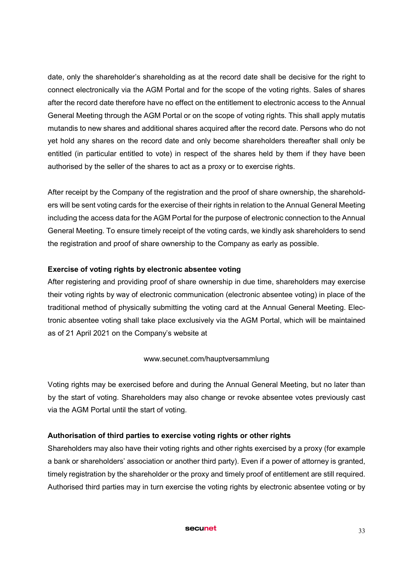date, only the shareholder's shareholding as at the record date shall be decisive for the right to connect electronically via the AGM Portal and for the scope of the voting rights. Sales of shares after the record date therefore have no effect on the entitlement to electronic access to the Annual General Meeting through the AGM Portal or on the scope of voting rights. This shall apply mutatis mutandis to new shares and additional shares acquired after the record date. Persons who do not yet hold any shares on the record date and only become shareholders thereafter shall only be entitled (in particular entitled to vote) in respect of the shares held by them if they have been authorised by the seller of the shares to act as a proxy or to exercise rights.

After receipt by the Company of the registration and the proof of share ownership, the shareholders will be sent voting cards for the exercise of their rights in relation to the Annual General Meeting including the access data for the AGM Portal for the purpose of electronic connection to the Annual General Meeting. To ensure timely receipt of the voting cards, we kindly ask shareholders to send the registration and proof of share ownership to the Company as early as possible.

# Exercise of voting rights by electronic absentee voting

After registering and providing proof of share ownership in due time, shareholders may exercise their voting rights by way of electronic communication (electronic absentee voting) in place of the traditional method of physically submitting the voting card at the Annual General Meeting. Electronic absentee voting shall take place exclusively via the AGM Portal, which will be maintained as of 21 April 2021 on the Company's website at

### www.secunet.com/hauptversammlung

Voting rights may be exercised before and during the Annual General Meeting, but no later than by the start of voting. Shareholders may also change or revoke absentee votes previously cast via the AGM Portal until the start of voting.

# Authorisation of third parties to exercise voting rights or other rights

Shareholders may also have their voting rights and other rights exercised by a proxy (for example a bank or shareholders' association or another third party). Even if a power of attorney is granted, timely registration by the shareholder or the proxy and timely proof of entitlement are still required. Authorised third parties may in turn exercise the voting rights by electronic absentee voting or by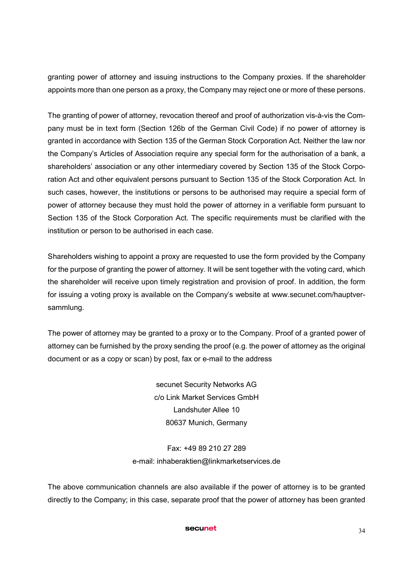granting power of attorney and issuing instructions to the Company proxies. If the shareholder appoints more than one person as a proxy, the Company may reject one or more of these persons.

The granting of power of attorney, revocation thereof and proof of authorization vis-à-vis the Company must be in text form (Section 126b of the German Civil Code) if no power of attorney is granted in accordance with Section 135 of the German Stock Corporation Act. Neither the law nor the Company's Articles of Association require any special form for the authorisation of a bank, a shareholders' association or any other intermediary covered by Section 135 of the Stock Corporation Act and other equivalent persons pursuant to Section 135 of the Stock Corporation Act. In such cases, however, the institutions or persons to be authorised may require a special form of power of attorney because they must hold the power of attorney in a verifiable form pursuant to Section 135 of the Stock Corporation Act. The specific requirements must be clarified with the institution or person to be authorised in each case.

Shareholders wishing to appoint a proxy are requested to use the form provided by the Company for the purpose of granting the power of attorney. It will be sent together with the voting card, which the shareholder will receive upon timely registration and provision of proof. In addition, the form for issuing a voting proxy is available on the Company's website at www.secunet.com/hauptversammlung.

The power of attorney may be granted to a proxy or to the Company. Proof of a granted power of attorney can be furnished by the proxy sending the proof (e.g. the power of attorney as the original document or as a copy or scan) by post, fax or e-mail to the address

> secunet Security Networks AG c/o Link Market Services GmbH Landshuter Allee 10 80637 Munich, Germany

# Fax: +49 89 210 27 289 e-mail: inhaberaktien@linkmarketservices.de

The above communication channels are also available if the power of attorney is to be granted directly to the Company; in this case, separate proof that the power of attorney has been granted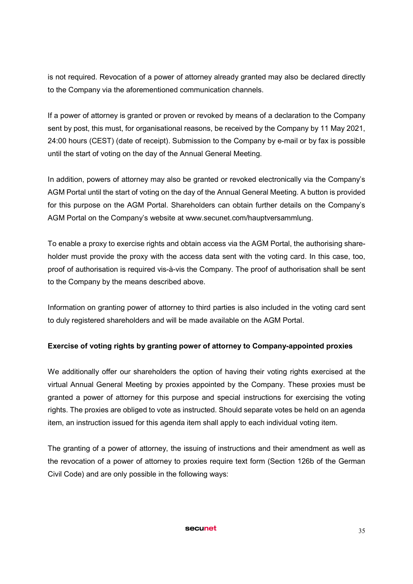is not required. Revocation of a power of attorney already granted may also be declared directly to the Company via the aforementioned communication channels.

If a power of attorney is granted or proven or revoked by means of a declaration to the Company sent by post, this must, for organisational reasons, be received by the Company by 11 May 2021, 24:00 hours (CEST) (date of receipt). Submission to the Company by e-mail or by fax is possible until the start of voting on the day of the Annual General Meeting.

In addition, powers of attorney may also be granted or revoked electronically via the Company's AGM Portal until the start of voting on the day of the Annual General Meeting. A button is provided for this purpose on the AGM Portal. Shareholders can obtain further details on the Company's AGM Portal on the Company's website at www.secunet.com/hauptversammlung.

To enable a proxy to exercise rights and obtain access via the AGM Portal, the authorising shareholder must provide the proxy with the access data sent with the voting card. In this case, too, proof of authorisation is required vis-à-vis the Company. The proof of authorisation shall be sent to the Company by the means described above.

Information on granting power of attorney to third parties is also included in the voting card sent to duly registered shareholders and will be made available on the AGM Portal.

# Exercise of voting rights by granting power of attorney to Company-appointed proxies

We additionally offer our shareholders the option of having their voting rights exercised at the virtual Annual General Meeting by proxies appointed by the Company. These proxies must be granted a power of attorney for this purpose and special instructions for exercising the voting rights. The proxies are obliged to vote as instructed. Should separate votes be held on an agenda item, an instruction issued for this agenda item shall apply to each individual voting item.

The granting of a power of attorney, the issuing of instructions and their amendment as well as the revocation of a power of attorney to proxies require text form (Section 126b of the German Civil Code) and are only possible in the following ways: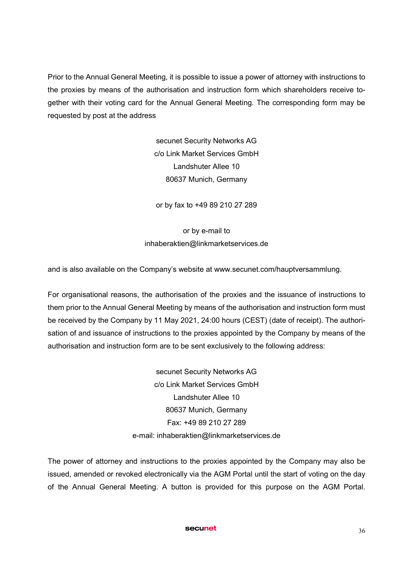Prior to the Annual General Meeting, it is possible to issue a power of attorney with instructions to the proxies by means of the authorisation and instruction form which shareholders receive together with their voting card for the Annual General Meeting. The corresponding form may be requested by post at the address

> secunet Security Networks AG c/o Link Market Services GmbH Landshuter Allee 10 80637 Munich, Germany

or by fax to +49 89 210 27 289

or by e-mail to inhaberaktien@linkmarketservices.de

and is also available on the Company's website at www.secunet.com/hauptversammlung.

For organisational reasons, the authorisation of the proxies and the issuance of instructions to them prior to the Annual General Meeting by means of the authorisation and instruction form must be received by the Company by 11 May 2021, 24:00 hours (CEST) (date of receipt). The authorisation of and issuance of instructions to the proxies appointed by the Company by means of the authorisation and instruction form are to be sent exclusively to the following address:

> secunet Security Networks AG c/o Link Market Services GmbH Landshuter Allee 10 80637 Munich, Germany Fax: +49 89 210 27 289 e-mail: inhaberaktien@linkmarketservices.de

The power of attorney and instructions to the proxies appointed by the Company may also be issued, amended or revoked electronically via the AGM Portal until the start of voting on the day of the Annual General Meeting. A button is provided for this purpose on the AGM Portal.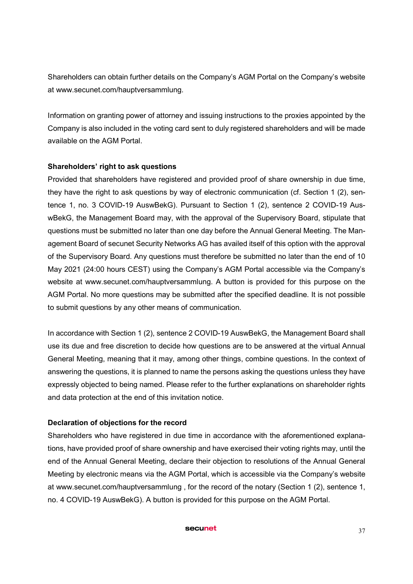Shareholders can obtain further details on the Company's AGM Portal on the Company's website at www.secunet.com/hauptversammlung.

Information on granting power of attorney and issuing instructions to the proxies appointed by the Company is also included in the voting card sent to duly registered shareholders and will be made available on the AGM Portal.

# Shareholders' right to ask questions

Provided that shareholders have registered and provided proof of share ownership in due time, they have the right to ask questions by way of electronic communication (cf. Section 1 (2), sentence 1, no. 3 COVID-19 AuswBekG). Pursuant to Section 1 (2), sentence 2 COVID-19 AuswBekG, the Management Board may, with the approval of the Supervisory Board, stipulate that questions must be submitted no later than one day before the Annual General Meeting. The Management Board of secunet Security Networks AG has availed itself of this option with the approval of the Supervisory Board. Any questions must therefore be submitted no later than the end of 10 May 2021 (24:00 hours CEST) using the Company's AGM Portal accessible via the Company's website at www.secunet.com/hauptversammlung. A button is provided for this purpose on the AGM Portal. No more questions may be submitted after the specified deadline. It is not possible to submit questions by any other means of communication.

In accordance with Section 1 (2), sentence 2 COVID-19 AuswBekG, the Management Board shall use its due and free discretion to decide how questions are to be answered at the virtual Annual General Meeting, meaning that it may, among other things, combine questions. In the context of answering the questions, it is planned to name the persons asking the questions unless they have expressly objected to being named. Please refer to the further explanations on shareholder rights and data protection at the end of this invitation notice.

# Declaration of objections for the record

Shareholders who have registered in due time in accordance with the aforementioned explanations, have provided proof of share ownership and have exercised their voting rights may, until the end of the Annual General Meeting, declare their objection to resolutions of the Annual General Meeting by electronic means via the AGM Portal, which is accessible via the Company's website at www.secunet.com/hauptversammlung , for the record of the notary (Section 1 (2), sentence 1, no. 4 COVID-19 AuswBekG). A button is provided for this purpose on the AGM Portal.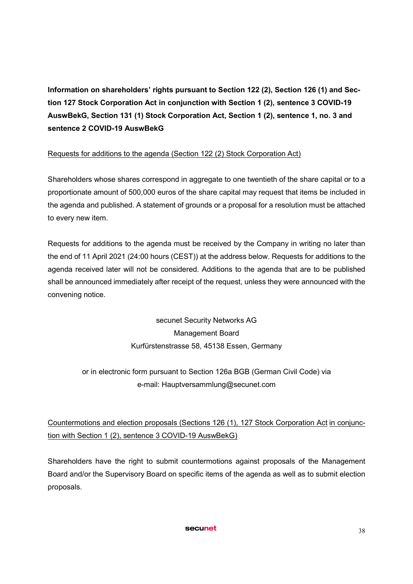Information on shareholders' rights pursuant to Section 122 (2), Section 126 (1) and Section 127 Stock Corporation Act in conjunction with Section 1 (2), sentence 3 COVID-19 AuswBekG, Section 131 (1) Stock Corporation Act, Section 1 (2), sentence 1, no. 3 and sentence 2 COVID-19 AuswBekG

# Requests for additions to the agenda (Section 122 (2) Stock Corporation Act)

Shareholders whose shares correspond in aggregate to one twentieth of the share capital or to a proportionate amount of 500,000 euros of the share capital may request that items be included in the agenda and published. A statement of grounds or a proposal for a resolution must be attached to every new item.

Requests for additions to the agenda must be received by the Company in writing no later than the end of 11 April 2021 (24:00 hours (CEST)) at the address below. Requests for additions to the agenda received later will not be considered. Additions to the agenda that are to be published shall be announced immediately after receipt of the request, unless they were announced with the convening notice.

> secunet Security Networks AG Management Board Kurfürstenstrasse 58, 45138 Essen, Germany

or in electronic form pursuant to Section 126a BGB (German Civil Code) via e-mail: Hauptversammlung@secunet.com

# Countermotions and election proposals (Sections 126 (1), 127 Stock Corporation Act in conjunction with Section 1 (2), sentence 3 COVID-19 AuswBekG)

Shareholders have the right to submit countermotions against proposals of the Management Board and/or the Supervisory Board on specific items of the agenda as well as to submit election proposals.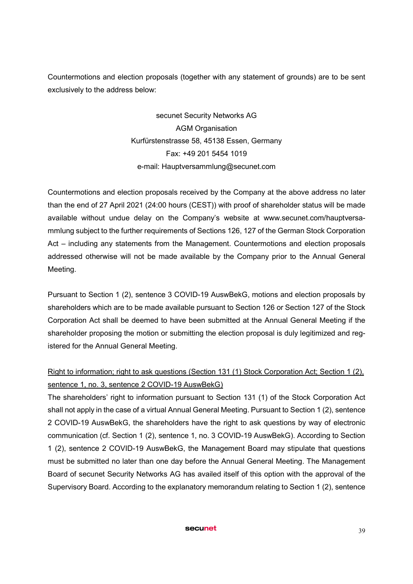Countermotions and election proposals (together with any statement of grounds) are to be sent exclusively to the address below:

> secunet Security Networks AG AGM Organisation Kurfürstenstrasse 58, 45138 Essen, Germany Fax: +49 201 5454 1019 e-mail: Hauptversammlung@secunet.com

Countermotions and election proposals received by the Company at the above address no later than the end of 27 April 2021 (24:00 hours (CEST)) with proof of shareholder status will be made available without undue delay on the Company's website at www.secunet.com/hauptversammlung subject to the further requirements of Sections 126, 127 of the German Stock Corporation Act – including any statements from the Management. Countermotions and election proposals addressed otherwise will not be made available by the Company prior to the Annual General Meeting.

Pursuant to Section 1 (2), sentence 3 COVID-19 AuswBekG, motions and election proposals by shareholders which are to be made available pursuant to Section 126 or Section 127 of the Stock Corporation Act shall be deemed to have been submitted at the Annual General Meeting if the shareholder proposing the motion or submitting the election proposal is duly legitimized and registered for the Annual General Meeting.

# Right to information; right to ask questions (Section 131 (1) Stock Corporation Act; Section 1 (2), sentence 1, no. 3, sentence 2 COVID-19 AuswBekG)

The shareholders' right to information pursuant to Section 131 (1) of the Stock Corporation Act shall not apply in the case of a virtual Annual General Meeting. Pursuant to Section 1 (2), sentence 2 COVID-19 AuswBekG, the shareholders have the right to ask questions by way of electronic communication (cf. Section 1 (2), sentence 1, no. 3 COVID-19 AuswBekG). According to Section 1 (2), sentence 2 COVID-19 AuswBekG, the Management Board may stipulate that questions must be submitted no later than one day before the Annual General Meeting. The Management Board of secunet Security Networks AG has availed itself of this option with the approval of the Supervisory Board. According to the explanatory memorandum relating to Section 1 (2), sentence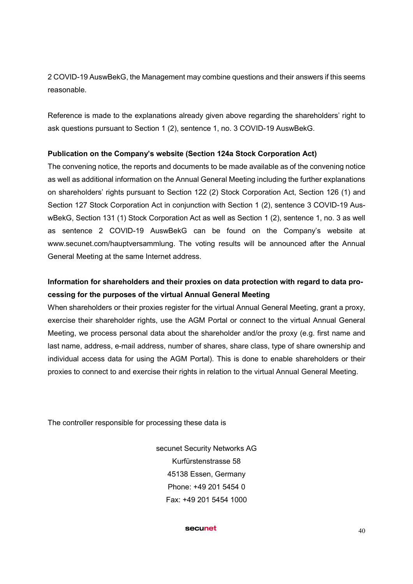2 COVID-19 AuswBekG, the Management may combine questions and their answers if this seems reasonable.

Reference is made to the explanations already given above regarding the shareholders' right to ask questions pursuant to Section 1 (2), sentence 1, no. 3 COVID-19 AuswBekG.

## Publication on the Company's website (Section 124a Stock Corporation Act)

The convening notice, the reports and documents to be made available as of the convening notice as well as additional information on the Annual General Meeting including the further explanations on shareholders' rights pursuant to Section 122 (2) Stock Corporation Act, Section 126 (1) and Section 127 Stock Corporation Act in conjunction with Section 1 (2), sentence 3 COVID-19 AuswBekG, Section 131 (1) Stock Corporation Act as well as Section 1 (2), sentence 1, no. 3 as well as sentence 2 COVID-19 AuswBekG can be found on the Company's website at www.secunet.com/hauptversammlung. The voting results will be announced after the Annual General Meeting at the same Internet address.

# Information for shareholders and their proxies on data protection with regard to data processing for the purposes of the virtual Annual General Meeting

When shareholders or their proxies register for the virtual Annual General Meeting, grant a proxy, exercise their shareholder rights, use the AGM Portal or connect to the virtual Annual General Meeting, we process personal data about the shareholder and/or the proxy (e.g. first name and last name, address, e-mail address, number of shares, share class, type of share ownership and individual access data for using the AGM Portal). This is done to enable shareholders or their proxies to connect to and exercise their rights in relation to the virtual Annual General Meeting.

The controller responsible for processing these data is

secunet Security Networks AG Kurfürstenstrasse 58 45138 Essen, Germany Phone: +49 201 5454 0 Fax: +49 201 5454 1000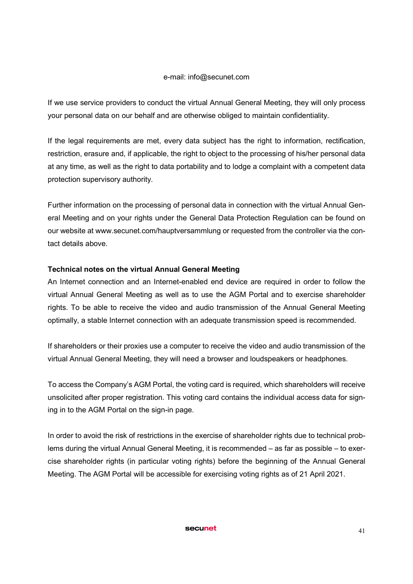#### e-mail: info@secunet.com

If we use service providers to conduct the virtual Annual General Meeting, they will only process your personal data on our behalf and are otherwise obliged to maintain confidentiality.

If the legal requirements are met, every data subject has the right to information, rectification, restriction, erasure and, if applicable, the right to object to the processing of his/her personal data at any time, as well as the right to data portability and to lodge a complaint with a competent data protection supervisory authority.

Further information on the processing of personal data in connection with the virtual Annual General Meeting and on your rights under the General Data Protection Regulation can be found on our website at www.secunet.com/hauptversammlung or requested from the controller via the contact details above.

### Technical notes on the virtual Annual General Meeting

An Internet connection and an Internet-enabled end device are required in order to follow the virtual Annual General Meeting as well as to use the AGM Portal and to exercise shareholder rights. To be able to receive the video and audio transmission of the Annual General Meeting optimally, a stable Internet connection with an adequate transmission speed is recommended.

If shareholders or their proxies use a computer to receive the video and audio transmission of the virtual Annual General Meeting, they will need a browser and loudspeakers or headphones.

To access the Company's AGM Portal, the voting card is required, which shareholders will receive unsolicited after proper registration. This voting card contains the individual access data for signing in to the AGM Portal on the sign-in page.

In order to avoid the risk of restrictions in the exercise of shareholder rights due to technical problems during the virtual Annual General Meeting, it is recommended – as far as possible – to exercise shareholder rights (in particular voting rights) before the beginning of the Annual General Meeting. The AGM Portal will be accessible for exercising voting rights as of 21 April 2021.